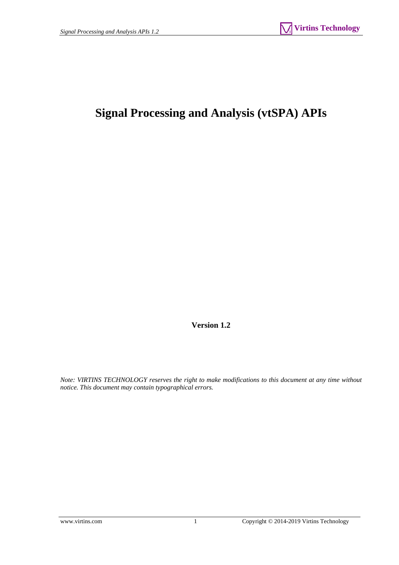# **Signal Processing and Analysis (vtSPA) APIs**

**Version 1.2** 

*Note: VIRTINS TECHNOLOGY reserves the right to make modifications to this document at any time without notice. This document may contain typographical errors.*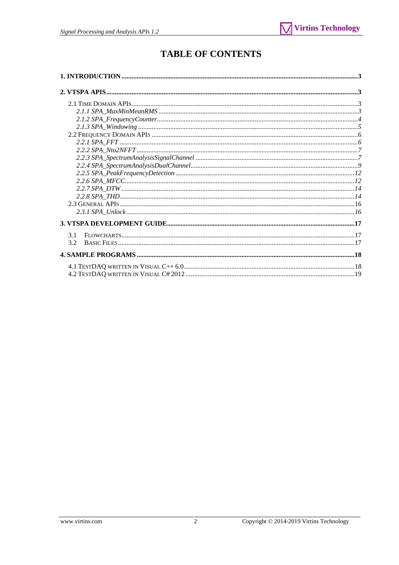## **TABLE OF CONTENTS**

| 3.1 |  |
|-----|--|
| 3.2 |  |
|     |  |
|     |  |
|     |  |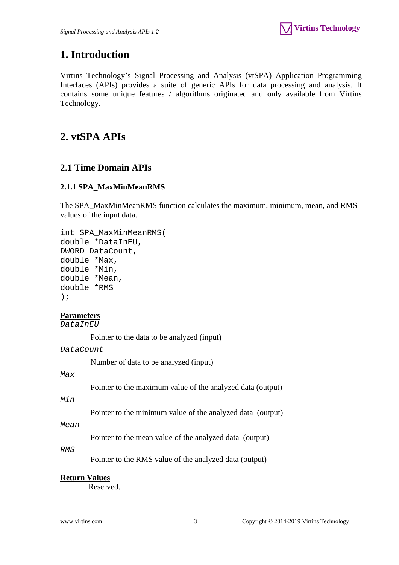# <span id="page-2-0"></span>**1. Introduction**

Virtins Technology's Signal Processing and Analysis (vtSPA) Application Programming Interfaces (APIs) provides a suite of generic APIs for data processing and analysis. It contains some unique features / algorithms originated and only available from Virtins Technology.

# <span id="page-2-1"></span>**2. vtSPA APIs**

## <span id="page-2-2"></span>**2.1 Time Domain APIs**

## <span id="page-2-3"></span>**2.1.1 SPA\_MaxMinMeanRMS**

The SPA\_MaxMinMeanRMS function calculates the maximum, minimum, mean, and RMS values of the input data.

```
int SPA_MaxMinMeanRMS( 
double *DataInEU, 
DWORD DataCount, 
double *Max, 
double *Min, 
double *Mean, 
double *RMS 
);
```
## **Parameters**

*DataInEU* 

Pointer to the data to be analyzed (input)

*DataCount* 

Number of data to be analyzed (input)

*Max* 

Pointer to the maximum value of the analyzed data (output)

*Min* 

Pointer to the minimum value of the analyzed data (output)

#### *Mean*

Pointer to the mean value of the analyzed data (output)

*RMS*

Pointer to the RMS value of the analyzed data (output)

## **Return Values**

Reserved.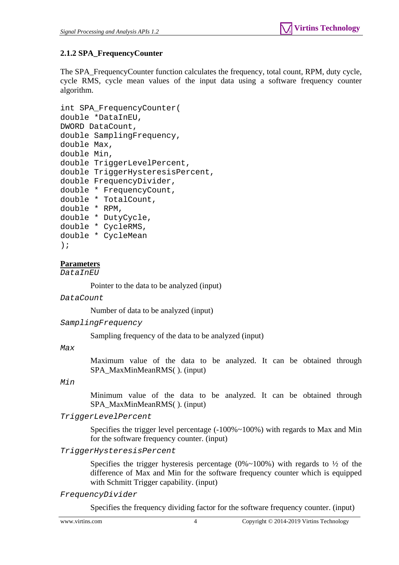## <span id="page-3-0"></span>**2.1.2 SPA\_FrequencyCounter**

The SPA\_FrequencyCounter function calculates the frequency, total count, RPM, duty cycle, cycle RMS, cycle mean values of the input data using a software frequency counter algorithm.

```
int SPA_FrequencyCounter( 
double *DataInEU, 
DWORD DataCount, 
double SamplingFrequency, 
double Max, 
double Min, 
double TriggerLevelPercent, 
double TriggerHysteresisPercent, 
double FrequencyDivider, 
double * FrequencyCount, 
double * TotalCount, 
double * RPM, 
double * DutyCycle, 
double * CycleRMS, 
double * CycleMean 
);
```
#### **Parameters**

*DataInEU* 

Pointer to the data to be analyzed (input)

*DataCount* 

Number of data to be analyzed (input)

*SamplingFrequency* 

Sampling frequency of the data to be analyzed (input)

*Max* 

 Maximum value of the data to be analyzed. It can be obtained through SPA\_MaxMinMeanRMS( ). (input)

*Min* 

 Minimum value of the data to be analyzed. It can be obtained through SPA\_MaxMinMeanRMS( ). (input)

#### *TriggerLevelPercent*

 Specifies the trigger level percentage (-100%~100%) with regards to Max and Min for the software frequency counter. (input)

#### *TriggerHysteresisPercent*

Specifies the trigger hysteresis percentage  $(0\% \sim 100\%)$  with regards to  $\frac{1}{2}$  of the difference of Max and Min for the software frequency counter which is equipped with Schmitt Trigger capability. (input)

*FrequencyDivider* 

Specifies the frequency dividing factor for the software frequency counter. (input)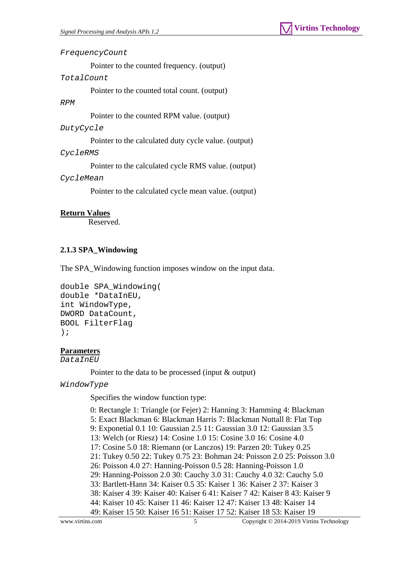*FrequencyCount* 

Pointer to the counted frequency. (output)

*TotalCount* 

Pointer to the counted total count. (output)

*RPM* 

Pointer to the counted RPM value. (output)

*DutyCycle* 

Pointer to the calculated duty cycle value. (output)

*CycleRMS* 

Pointer to the calculated cycle RMS value. (output)

*CycleMean* 

Pointer to the calculated cycle mean value. (output)

#### **Return Values**

Reserved.

#### <span id="page-4-0"></span>**2.1.3 SPA\_Windowing**

The SPA\_Windowing function imposes window on the input data.

```
double SPA_Windowing( 
double *DataInEU, 
int WindowType, 
DWORD DataCount, 
BOOL FilterFlag 
);
```
#### **Parameters**

*DataInEU* 

Pointer to the data to be processed (input & output)

*WindowType* 

Specifies the window function type:

 0: Rectangle 1: Triangle (or Fejer) 2: Hanning 3: Hamming 4: Blackman 5: Exact Blackman 6: Blackman Harris 7: Blackman Nuttall 8: Flat Top 9: Exponetial 0.1 10: Gaussian 2.5 11: Gaussian 3.0 12: Gaussian 3.5 13: Welch (or Riesz) 14: Cosine 1.0 15: Cosine 3.0 16: Cosine 4.0 17: Cosine 5.0 18: Riemann (or Lanczos) 19: Parzen 20: Tukey 0.25 21: Tukey 0.50 22: Tukey 0.75 23: Bohman 24: Poisson 2.0 25: Poisson 3.0 26: Poisson 4.0 27: Hanning-Poisson 0.5 28: Hanning-Poisson 1.0 29: Hanning-Poisson 2.0 30: Cauchy 3.0 31: Cauchy 4.0 32: Cauchy 5.0 33: Bartlett-Hann 34: Kaiser 0.5 35: Kaiser 1 36: Kaiser 2 37: Kaiser 3 38: Kaiser 4 39: Kaiser 40: Kaiser 6 41: Kaiser 7 42: Kaiser 8 43: Kaiser 9 44: Kaiser 10 45: Kaiser 11 46: Kaiser 12 47: Kaiser 13 48: Kaiser 14 49: Kaiser 15 50: Kaiser 16 51: Kaiser 17 52: Kaiser 18 53: Kaiser 19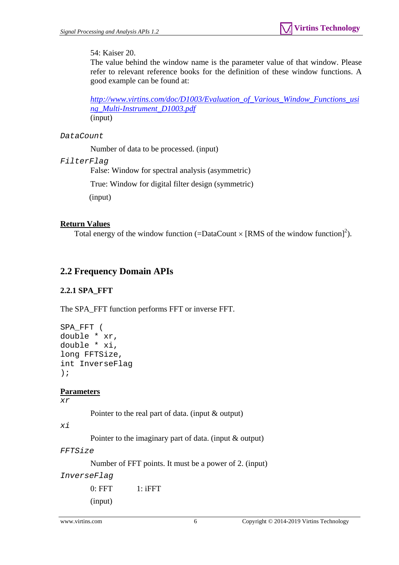## 54: Kaiser 20.

The value behind the window name is the parameter value of that window. Please refer to relevant reference books for the definition of these window functions. A good example can be found at:

*[http://www.virtins.com/doc/D1003/Evaluation\\_of\\_Various\\_Window\\_Functions\\_usi](http://www.virtins.com/doc/D1003/Evaluation_of_Various_Window_Functions_using_Multi-Instrument_D1003.pdf) [ng\\_Multi-Instrument\\_D1003.pdf](http://www.virtins.com/doc/D1003/Evaluation_of_Various_Window_Functions_using_Multi-Instrument_D1003.pdf)* (input)

#### *DataCount*

Number of data to be processed. (input)

#### *FilterFlag*

False: Window for spectral analysis (asymmetric)

True: Window for digital filter design (symmetric)

(input)

## **Return Values**

Total energy of the window function (=DataCount  $\times$  [RMS of the window function]<sup>2</sup>).

## <span id="page-5-0"></span>**2.2 Frequency Domain APIs**

## <span id="page-5-1"></span>**2.2.1 SPA\_FFT**

The SPA\_FFT function performs FFT or inverse FFT.

```
SPA_FFT ( 
double * xr, 
double * xi, 
long FFTSize, 
int InverseFlag 
);
```
## **Parameters**

*xr* 

Pointer to the real part of data. (input & output)

*xi* 

Pointer to the imaginary part of data. (input & output)

*FFTSize* 

Number of FFT points. It must be a power of 2. (input)

*InverseFlag* 

0: FFT 1: iFFT (input)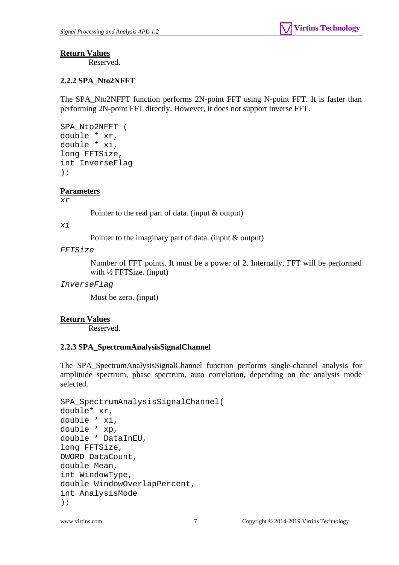## **Return Values**

Reserved.

## <span id="page-6-0"></span>**2.2.2 SPA\_Nto2NFFT**

The SPA\_Nto2NFFT function performs 2N-point FFT using N-point FFT. It is faster than performing 2N-point FFT directly. However, it does not support inverse FFT.

```
SPA_Nto2NFFT ( 
double * xr, 
double * xi, 
long FFTSize, 
int InverseFlag 
);
```
## **Parameters**

*xr* 

Pointer to the real part of data. (input & output)

#### *xi*

Pointer to the imaginary part of data. (input & output)

#### *FFTSize*

 Number of FFT points. It must be a power of 2. Internally, FFT will be performed with  $\frac{1}{2}$  FFTSize. (input)

#### *InverseFlag*

Must be zero. (input)

## **Return Values**

Reserved.

## <span id="page-6-1"></span>**2.2.3 SPA\_SpectrumAnalysisSignalChannel**

The SPA\_SpectrumAnalysisSignalChannel function performs single-channel analysis for amplitude spectrum, phase spectrum, auto correlation, depending on the analysis mode selected.

```
SPA_SpectrumAnalysisSignalChannel( 
double* xr, 
double * xi, 
double * xp, 
double * DataInEU, 
long FFTSize, 
DWORD DataCount, 
double Mean, 
int WindowType, 
double WindowOverlapPercent, 
int AnalysisMode 
);
```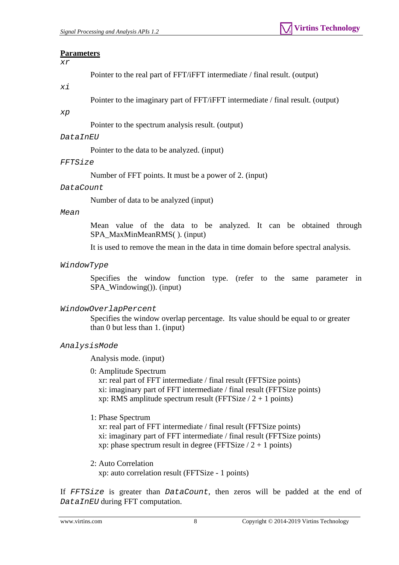#### **Parameters**

*xr* 

Pointer to the real part of FFT/iFFT intermediate / final result. (output)

*xi* 

Pointer to the imaginary part of FFT/iFFT intermediate / final result. (output)

*xp* 

Pointer to the spectrum analysis result. (output)

#### *DataInEU*

Pointer to the data to be analyzed. (input)

#### *FFTSize*

Number of FFT points. It must be a power of 2. (input)

#### *DataCount*

Number of data to be analyzed (input)

#### *Mean*

 Mean value of the data to be analyzed. It can be obtained through SPA\_MaxMinMeanRMS( ). (input)

It is used to remove the mean in the data in time domain before spectral analysis.

#### *WindowType*

 Specifies the window function type. (refer to the same parameter in SPA\_Windowing()). (input)

#### *WindowOverlapPercent*

 Specifies the window overlap percentage. Its value should be equal to or greater than 0 but less than 1. (input)

#### *AnalysisMode*

Analysis mode. (input)

0: Amplitude Spectrum

 xr: real part of FFT intermediate / final result (FFTSize points) xi: imaginary part of FFT intermediate / final result (FFTSize points) xp: RMS amplitude spectrum result (FFTSize  $/2 + 1$  points)

1: Phase Spectrum

 xr: real part of FFT intermediate / final result (FFTSize points) xi: imaginary part of FFT intermediate / final result (FFTSize points) xp: phase spectrum result in degree (FFTSize  $/2 + 1$  points)

#### 2: Auto Correlation

xp: auto correlation result (FFTSize - 1 points)

If *FFTSize* is greater than *DataCount*, then zeros will be padded at the end of *DataInEU* during FFT computation.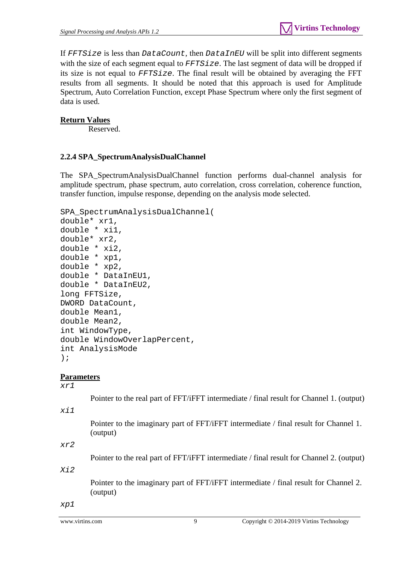If *FFTSize* is less than *DataCount*, then *DataInEU* will be split into different segments with the size of each segment equal to *FFTSize*. The last segment of data will be dropped if its size is not equal to *FFTSize*. The final result will be obtained by averaging the FFT results from all segments. It should be noted that this approach is used for Amplitude Spectrum, Auto Correlation Function, except Phase Spectrum where only the first segment of data is used.

## **Return Values**

Reserved.

## <span id="page-8-0"></span>**2.2.4 SPA\_SpectrumAnalysisDualChannel**

The SPA\_SpectrumAnalysisDualChannel function performs dual-channel analysis for amplitude spectrum, phase spectrum, auto correlation, cross correlation, coherence function, transfer function, impulse response, depending on the analysis mode selected.

```
SPA_SpectrumAnalysisDualChannel( 
double* xr1, 
double * xi1, 
double* xr2, 
double * xi2, 
double * xp1, 
double * xp2, 
double * DataInEU1, 
double * DataInEU2, 
long FFTSize, 
DWORD DataCount, 
double Mean1, 
double Mean2, 
int WindowType, 
double WindowOverlapPercent, 
int AnalysisMode 
);
```
#### **Parameters**

*xr1* 

Pointer to the real part of FFT/iFFT intermediate / final result for Channel 1. (output)

*xi1* 

 Pointer to the imaginary part of FFT/iFFT intermediate / final result for Channel 1. (output)

*xr2* 

Pointer to the real part of FFT/iFFT intermediate / final result for Channel 2. (output)

*Xi2* 

 Pointer to the imaginary part of FFT/iFFT intermediate / final result for Channel 2. (output)

*xp1*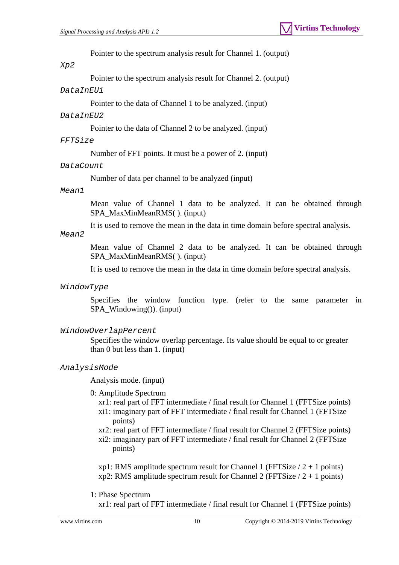Pointer to the spectrum analysis result for Channel 1. (output)

#### *Xp2*

Pointer to the spectrum analysis result for Channel 2. (output)

#### *DataInEU1*

Pointer to the data of Channel 1 to be analyzed. (input)

#### *DataInEU2*

Pointer to the data of Channel 2 to be analyzed. (input)

#### *FFTSize*

Number of FFT points. It must be a power of 2. (input)

#### *DataCount*

Number of data per channel to be analyzed (input)

#### *Mean1*

 Mean value of Channel 1 data to be analyzed. It can be obtained through SPA\_MaxMinMeanRMS( ). (input)

It is used to remove the mean in the data in time domain before spectral analysis.

*Mean2* 

 Mean value of Channel 2 data to be analyzed. It can be obtained through SPA\_MaxMinMeanRMS( ). (input)

It is used to remove the mean in the data in time domain before spectral analysis.

#### *WindowType*

 Specifies the window function type. (refer to the same parameter in SPA\_Windowing()). (input)

#### *WindowOverlapPercent*

 Specifies the window overlap percentage. Its value should be equal to or greater than 0 but less than 1. (input)

#### *AnalysisMode*

Analysis mode. (input)

#### 0: Amplitude Spectrum

- xr1: real part of FFT intermediate / final result for Channel 1 (FFTSize points)
- xi1: imaginary part of FFT intermediate / final result for Channel 1 (FFTSize points)
- xr2: real part of FFT intermediate / final result for Channel 2 (FFTSize points)
- xi2: imaginary part of FFT intermediate / final result for Channel 2 (FFTSize points)

xp1: RMS amplitude spectrum result for Channel 1 (FFTSize  $/2 + 1$  points) xp2: RMS amplitude spectrum result for Channel 2 (FFTSize  $/2 + 1$  points)

#### 1: Phase Spectrum

xr1: real part of FFT intermediate / final result for Channel 1 (FFTSize points)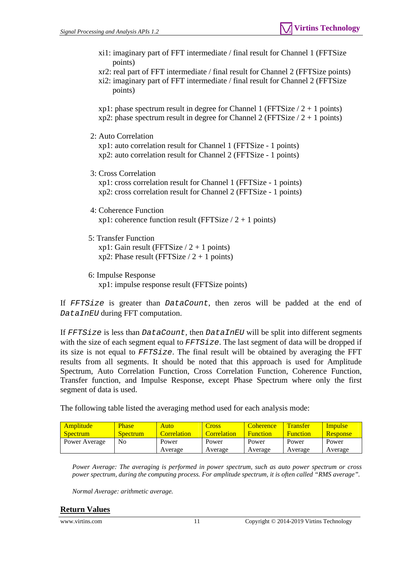- xi1: imaginary part of FFT intermediate / final result for Channel 1 (FFTSize points)
- xr2: real part of FFT intermediate / final result for Channel 2 (FFTSize points)
- xi2: imaginary part of FFT intermediate / final result for Channel 2 (FFTSize points)

xp1: phase spectrum result in degree for Channel 1 (FFTSize  $/2 + 1$  points) xp2: phase spectrum result in degree for Channel 2 (FFTSize  $/2 + 1$  points)

2: Auto Correlation

 xp1: auto correlation result for Channel 1 (FFTSize - 1 points) xp2: auto correlation result for Channel 2 (FFTSize - 1 points)

- 3: Cross Correlation xp1: cross correlation result for Channel 1 (FFTSize - 1 points) xp2: cross correlation result for Channel 2 (FFTSize - 1 points)
- 4: Coherence Function xp1: coherence function result (FFTSize  $/2 + 1$  points)
- 5: Transfer Function  $xp1: Gain result (FFTSize / 2 + 1 points)$  $xp2$ : Phase result (FFTSize / 2 + 1 points)
- 6: Impulse Response xp1: impulse response result (FFTSize points)

If *FFTSize* is greater than *DataCount*, then zeros will be padded at the end of *DataInEU* during FFT computation.

If *FFTSize* is less than *DataCount*, then *DataInEU* will be split into different segments with the size of each segment equal to *FFTSize*. The last segment of data will be dropped if its size is not equal to *FFTSize*. The final result will be obtained by averaging the FFT results from all segments. It should be noted that this approach is used for Amplitude Spectrum, Auto Correlation Function, Cross Correlation Function, Coherence Function, Transfer function, and Impulse Response, except Phase Spectrum where only the first segment of data is used.

The following table listed the averaging method used for each analysis mode:

| Amplitude       | <b>Phase</b>    | Auto        | ross        | <b>Coherence</b> | <b>Transfer</b> | <i>Impulse</i>  |
|-----------------|-----------------|-------------|-------------|------------------|-----------------|-----------------|
| <b>Spectrum</b> | <b>Spectrum</b> | Correlation | Correlation | <b>Function</b>  | <b>Function</b> | <b>Response</b> |
| Power Average   | No              | Power       | Power       | Power            | Power           | Power           |
|                 |                 | Average     | Average     | Average          | Average         | Average         |

*Power Average: The averaging is performed in power spectrum, such as auto power spectrum or cross power spectrum, during the computing process. For amplitude spectrum, it is often called "RMS average".* 

*Normal Average: arithmetic average.* 

#### **Return Values**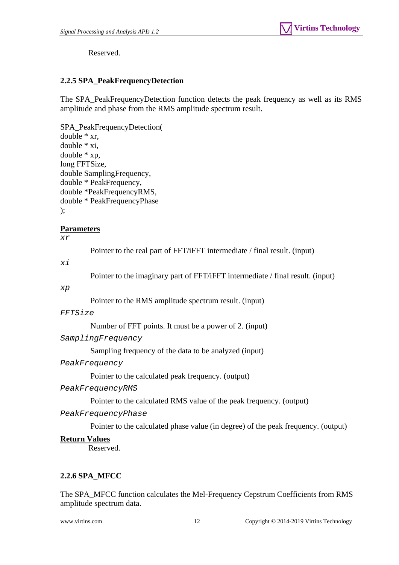Reserved.

## <span id="page-11-0"></span>**2.2.5 SPA\_PeakFrequencyDetection**

The SPA\_PeakFrequencyDetection function detects the peak frequency as well as its RMS amplitude and phase from the RMS amplitude spectrum result.

```
SPA_PeakFrequencyDetection( 
double * xr, 
double * xi, 
double * xp, 
long FFTSize, 
double SamplingFrequency, 
double * PeakFrequency, 
double *PeakFrequencyRMS, 
double * PeakFrequencyPhase 
);
```
## **Parameters**

*xr* 

Pointer to the real part of FFT/iFFT intermediate / final result. (input)

*xi* 

Pointer to the imaginary part of FFT/iFFT intermediate / final result. (input)

*xp* 

Pointer to the RMS amplitude spectrum result. (input)

#### *FFTSize*

Number of FFT points. It must be a power of 2. (input)

*SamplingFrequency* 

Sampling frequency of the data to be analyzed (input)

#### *PeakFrequency*

Pointer to the calculated peak frequency. (output)

#### *PeakFrequencyRMS*

Pointer to the calculated RMS value of the peak frequency. (output)

#### *PeakFrequencyPhase*

Pointer to the calculated phase value (in degree) of the peak frequency. (output)

#### **Return Values**

Reserved.

## <span id="page-11-1"></span>**2.2.6 SPA\_MFCC**

The SPA\_MFCC function calculates the Mel-Frequency Cepstrum Coefficients from RMS amplitude spectrum data.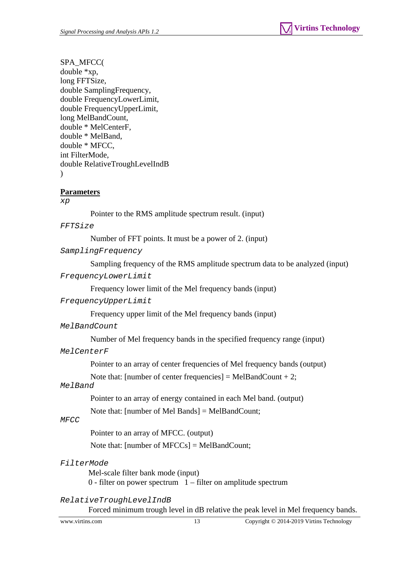SPA\_MFCC( double \*xp, long FFTSize, double SamplingFrequency, double FrequencyLowerLimit, double FrequencyUpperLimit, long MelBandCount, double \* MelCenterF, double \* MelBand, double \* MFCC, int FilterMode, double RelativeTroughLevelIndB  $\lambda$ 

## **Parameters**

*xp* 

Pointer to the RMS amplitude spectrum result. (input)

#### *FFTSize*

Number of FFT points. It must be a power of 2. (input)

*SamplingFrequency* 

 Sampling frequency of the RMS amplitude spectrum data to be analyzed (input) *FrequencyLowerLimit* 

Frequency lower limit of the Mel frequency bands (input)

*FrequencyUpperLimit* 

Frequency upper limit of the Mel frequency bands (input)

*MelBandCount* 

Number of Mel frequency bands in the specified frequency range (input)

#### *MelCenterF*

Pointer to an array of center frequencies of Mel frequency bands (output)

Note that: [number of center frequencies] = MelBandCount  $+ 2$ ;

#### *MelBand*

Pointer to an array of energy contained in each Mel band. (output)

Note that: [number of Mel Bands] = MelBandCount;

#### *MFCC*

Pointer to an array of MFCC. (output)

Note that: [number of MFCCs] = MelBandCount;

#### *FilterMode*

 Mel-scale filter bank mode (input) 0 - filter on power spectrum  $1$  – filter on amplitude spectrum

#### *RelativeTroughLevelIndB*

Forced minimum trough level in dB relative the peak level in Mel frequency bands.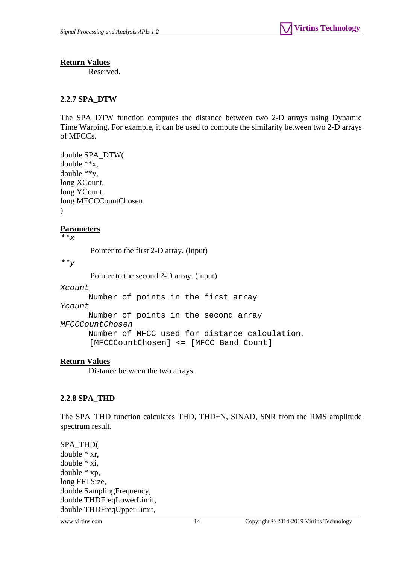**Return Values**

Reserved.

## <span id="page-13-0"></span>**2.2.7 SPA\_DTW**

The SPA\_DTW function computes the distance between two 2-D arrays using Dynamic Time Warping. For example, it can be used to compute the similarity between two 2-D arrays of MFCCs.

double SPA\_DTW( double \*\*x, double \*\*y, long XCount, long YCount, long MFCCCountChosen  $\lambda$ 

## **Parameters**

*\*\*x* 

Pointer to the first 2-D array. (input)

*\*\*y* 

Pointer to the second 2-D array. (input)

*Xcount* 

Number of points in the first array

*Ycount* 

Number of points in the second array

*MFCCCountChosen* 

Number of MFCC used for distance calculation.

[MFCCCountChosen] <= [MFCC Band Count]

## **Return Values**

Distance between the two arrays.

## <span id="page-13-1"></span>**2.2.8 SPA\_THD**

The SPA\_THD function calculates THD, THD+N, SINAD, SNR from the RMS amplitude spectrum result.

SPA\_THD( double \* xr, double \* xi, double \* xp, long FFTSize, double SamplingFrequency, double THDFreqLowerLimit, double THDFreqUpperLimit,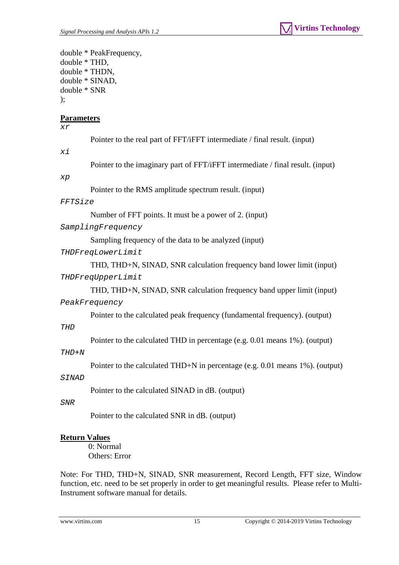double \* PeakFrequency, double \* THD, double \* THDN, double \* SINAD, double \* SNR );

## **Parameters**

*xr* 

|  | Pointer to the real part of FFT/iFFT intermediate / final result. (input) |  |
|--|---------------------------------------------------------------------------|--|
|--|---------------------------------------------------------------------------|--|

*xi* 

```
 Pointer to the imaginary part of FFT/iFFT intermediate / final result. (input)
```
*xp* 

Pointer to the RMS amplitude spectrum result. (input)

#### *FFTSize*

Number of FFT points. It must be a power of 2. (input)

*SamplingFrequency* 

Sampling frequency of the data to be analyzed (input)

*THDFreqLowerLimit* 

 THD, THD+N, SINAD, SNR calculation frequency band lower limit (input) *THDFreqUpperLimit* 

 THD, THD+N, SINAD, SNR calculation frequency band upper limit (input) *PeakFrequency* 

Pointer to the calculated peak frequency (fundamental frequency). (output)

*THD* 

Pointer to the calculated THD in percentage (e.g. 0.01 means 1%). (output)

*THD+N* 

Pointer to the calculated THD+N in percentage (e.g. 0.01 means 1%). (output)

*SINAD* 

Pointer to the calculated SINAD in dB. (output)

*SNR* 

Pointer to the calculated SNR in dB. (output)

## **Return Values**

0: Normal Others: Error

Note: For THD, THD+N, SINAD, SNR measurement, Record Length, FFT size, Window function, etc. need to be set properly in order to get meaningful results. Please refer to Multi-Instrument software manual for details.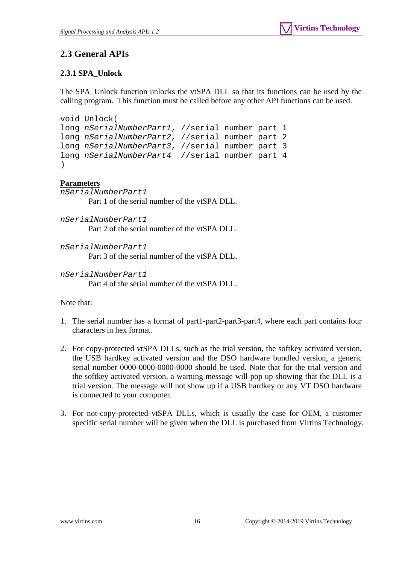## <span id="page-15-0"></span>**2.3 General APIs**

## <span id="page-15-1"></span>**2.3.1 SPA\_Unlock**

The SPA\_Unlock function unlocks the vtSPA DLL so that its functions can be used by the calling program. This function must be called before any other API functions can be used.

```
void Unlock( 
long nSerialNumberPart1, //serial number part 1 
long nSerialNumberPart2, //serial number part 2 
long nSerialNumberPart3, //serial number part 3 
long nSerialNumberPart4 //serial number part 4 
)
```
## **Parameters**

*nSerialNumberPart1* 

Part 1 of the serial number of the vtSPA DLL.

```
nSerialNumberPart1
```
Part 2 of the serial number of the vtSPA DLL.

*nSerialNumberPart1* 

Part 3 of the serial number of the vtSPA DLL.

```
nSerialNumberPart1
```
Part 4 of the serial number of the vtSPA DLL.

Note that:

- 1. The serial number has a format of part1-part2-part3-part4, where each part contains four characters in hex format.
- 2. For copy-protected vtSPA DLLs, such as the trial version, the softkey activated version, the USB hardkey activated version and the DSO hardware bundled version, a generic serial number 0000-0000-0000-0000 should be used. Note that for the trial version and the softkey activated version, a warning message will pop up showing that the DLL is a trial version. The message will not show up if a USB hardkey or any VT DSO hardware is connected to your computer.
- 3. For not-copy-protected vtSPA DLLs, which is usually the case for OEM, a customer specific serial number will be given when the DLL is purchased from Virtins Technology.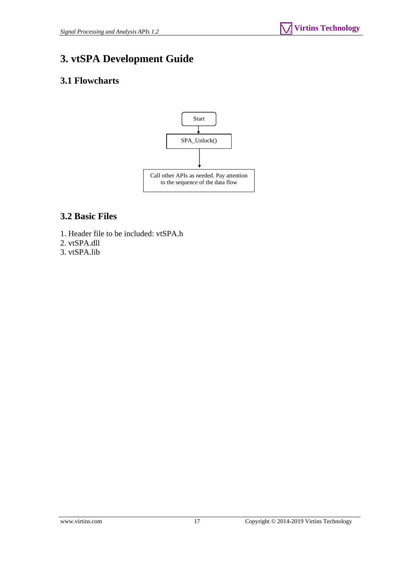# <span id="page-16-0"></span>**3. vtSPA Development Guide**

## <span id="page-16-1"></span>**3.1 Flowcharts**



## <span id="page-16-2"></span>**3.2 Basic Files**

- 1. Header file to be included: vtSPA.h
- 2. vtSPA.dll
- 3. vtSPA.lib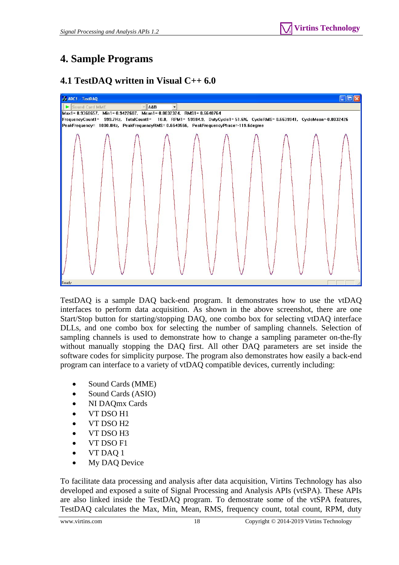# <span id="page-17-0"></span>**4. Sample Programs**

## **4.1 TestDAQ written in Visual C++ 6.0**

<span id="page-17-1"></span>

TestDAQ is a sample DAQ back-end program. It demonstrates how to use the vtDAQ interfaces to perform data acquisition. As shown in the above screenshot, there are one Start/Stop button for starting/stopping DAQ, one combo box for selecting vtDAQ interface DLLs, and one combo box for selecting the number of sampling channels. Selection of sampling channels is used to demonstrate how to change a sampling parameter on-the-fly without manually stopping the DAQ first. All other DAQ parameters are set inside the software codes for simplicity purpose. The program also demonstrates how easily a back-end program can interface to a variety of vtDAQ compatible devices, currently including:

- Sound Cards (MME)
- Sound Cards (ASIO)
- NI DAQmx Cards
- VT DSO H1
- VT DSO H2
- VT DSO H3
- VT DSO F1
- VT DAQ 1
- My DAQ Device

To facilitate data processing and analysis after data acquisition, Virtins Technology has also developed and exposed a suite of Signal Processing and Analysis APIs (vtSPA). These APIs are also linked inside the TestDAQ program. To demostrate some of the vtSPA features, TestDAQ calculates the Max, Min, Mean, RMS, frequency count, total count, RPM, duty